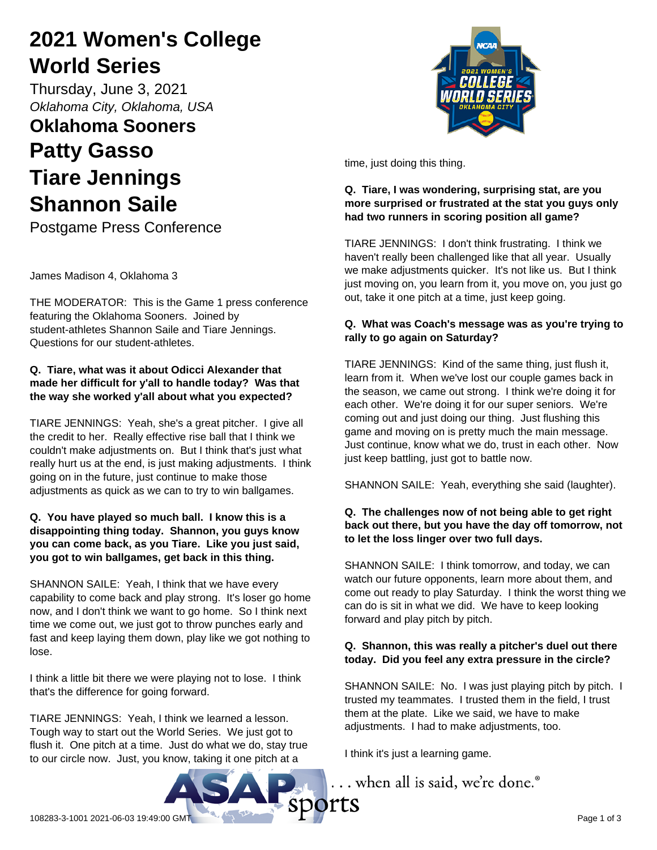# **2021 Women's College World Series**

Thursday, June 3, 2021 *Oklahoma City, Oklahoma, USA*

# **Oklahoma Sooners Patty Gasso Tiare Jennings Shannon Saile**

Postgame Press Conference

James Madison 4, Oklahoma 3

THE MODERATOR: This is the Game 1 press conference featuring the Oklahoma Sooners. Joined by student-athletes Shannon Saile and Tiare Jennings. Questions for our student-athletes.

### **Q. Tiare, what was it about Odicci Alexander that made her difficult for y'all to handle today? Was that the way she worked y'all about what you expected?**

TIARE JENNINGS: Yeah, she's a great pitcher. I give all the credit to her. Really effective rise ball that I think we couldn't make adjustments on. But I think that's just what really hurt us at the end, is just making adjustments. I think going on in the future, just continue to make those adjustments as quick as we can to try to win ballgames.

## **Q. You have played so much ball. I know this is a disappointing thing today. Shannon, you guys know you can come back, as you Tiare. Like you just said, you got to win ballgames, get back in this thing.**

SHANNON SAILE: Yeah, I think that we have every capability to come back and play strong. It's loser go home now, and I don't think we want to go home. So I think next time we come out, we just got to throw punches early and fast and keep laying them down, play like we got nothing to lose.

I think a little bit there we were playing not to lose. I think that's the difference for going forward.

TIARE JENNINGS: Yeah, I think we learned a lesson. Tough way to start out the World Series. We just got to flush it. One pitch at a time. Just do what we do, stay true to our circle now. Just, you know, taking it one pitch at a



time, just doing this thing.

## **Q. Tiare, I was wondering, surprising stat, are you more surprised or frustrated at the stat you guys only had two runners in scoring position all game?**

TIARE JENNINGS: I don't think frustrating. I think we haven't really been challenged like that all year. Usually we make adjustments quicker. It's not like us. But I think just moving on, you learn from it, you move on, you just go out, take it one pitch at a time, just keep going.

# **Q. What was Coach's message was as you're trying to rally to go again on Saturday?**

TIARE JENNINGS: Kind of the same thing, just flush it, learn from it. When we've lost our couple games back in the season, we came out strong. I think we're doing it for each other. We're doing it for our super seniors. We're coming out and just doing our thing. Just flushing this game and moving on is pretty much the main message. Just continue, know what we do, trust in each other. Now just keep battling, just got to battle now.

SHANNON SAILE: Yeah, everything she said (laughter).

### **Q. The challenges now of not being able to get right back out there, but you have the day off tomorrow, not to let the loss linger over two full days.**

SHANNON SAILE: I think tomorrow, and today, we can watch our future opponents, learn more about them, and come out ready to play Saturday. I think the worst thing we can do is sit in what we did. We have to keep looking forward and play pitch by pitch.

# **Q. Shannon, this was really a pitcher's duel out there today. Did you feel any extra pressure in the circle?**

SHANNON SAILE: No. I was just playing pitch by pitch. I trusted my teammates. I trusted them in the field, I trust them at the plate. Like we said, we have to make adjustments. I had to make adjustments, too.

I think it's just a learning game.

... when all is said, we're done.<sup>®</sup>

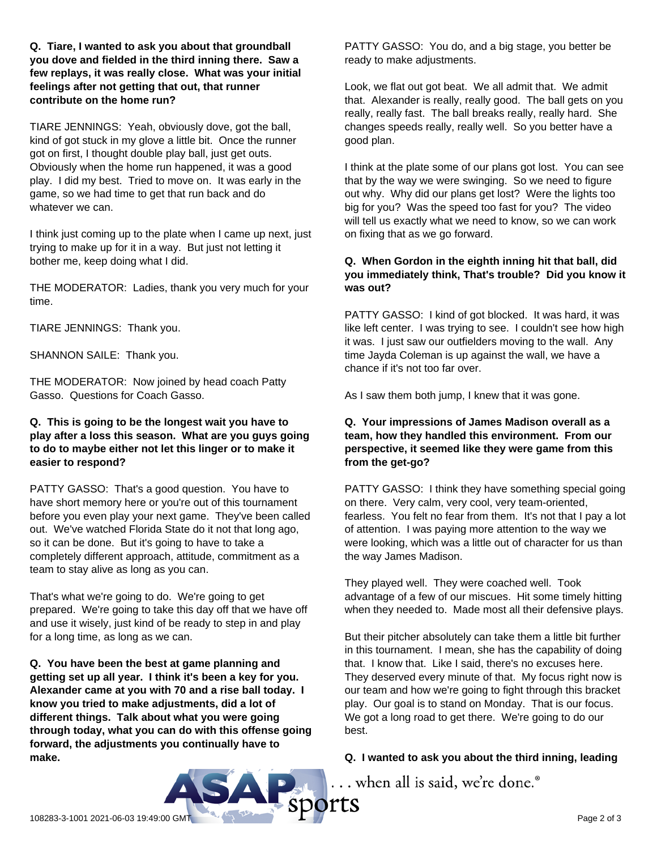**Q. Tiare, I wanted to ask you about that groundball you dove and fielded in the third inning there. Saw a few replays, it was really close. What was your initial feelings after not getting that out, that runner contribute on the home run?**

TIARE JENNINGS: Yeah, obviously dove, got the ball, kind of got stuck in my glove a little bit. Once the runner got on first, I thought double play ball, just get outs. Obviously when the home run happened, it was a good play. I did my best. Tried to move on. It was early in the game, so we had time to get that run back and do whatever we can.

I think just coming up to the plate when I came up next, just trying to make up for it in a way. But just not letting it bother me, keep doing what I did.

THE MODERATOR: Ladies, thank you very much for your time.

TIARE JENNINGS: Thank you.

SHANNON SAILE: Thank you.

THE MODERATOR: Now joined by head coach Patty Gasso. Questions for Coach Gasso.

#### **Q. This is going to be the longest wait you have to play after a loss this season. What are you guys going to do to maybe either not let this linger or to make it easier to respond?**

PATTY GASSO: That's a good question. You have to have short memory here or you're out of this tournament before you even play your next game. They've been called out. We've watched Florida State do it not that long ago, so it can be done. But it's going to have to take a completely different approach, attitude, commitment as a team to stay alive as long as you can.

That's what we're going to do. We're going to get prepared. We're going to take this day off that we have off and use it wisely, just kind of be ready to step in and play for a long time, as long as we can.

**Q. You have been the best at game planning and getting set up all year. I think it's been a key for you. Alexander came at you with 70 and a rise ball today. I know you tried to make adjustments, did a lot of different things. Talk about what you were going through today, what you can do with this offense going forward, the adjustments you continually have to make.**

PATTY GASSO: You do, and a big stage, you better be ready to make adjustments.

Look, we flat out got beat. We all admit that. We admit that. Alexander is really, really good. The ball gets on you really, really fast. The ball breaks really, really hard. She changes speeds really, really well. So you better have a good plan.

I think at the plate some of our plans got lost. You can see that by the way we were swinging. So we need to figure out why. Why did our plans get lost? Were the lights too big for you? Was the speed too fast for you? The video will tell us exactly what we need to know, so we can work on fixing that as we go forward.

#### **Q. When Gordon in the eighth inning hit that ball, did you immediately think, That's trouble? Did you know it was out?**

PATTY GASSO: I kind of got blocked. It was hard, it was like left center. I was trying to see. I couldn't see how high it was. I just saw our outfielders moving to the wall. Any time Jayda Coleman is up against the wall, we have a chance if it's not too far over.

As I saw them both jump, I knew that it was gone.

#### **Q. Your impressions of James Madison overall as a team, how they handled this environment. From our perspective, it seemed like they were game from this from the get-go?**

PATTY GASSO: I think they have something special going on there. Very calm, very cool, very team-oriented, fearless. You felt no fear from them. It's not that I pay a lot of attention. I was paying more attention to the way we were looking, which was a little out of character for us than the way James Madison.

They played well. They were coached well. Took advantage of a few of our miscues. Hit some timely hitting when they needed to. Made most all their defensive plays.

But their pitcher absolutely can take them a little bit further in this tournament. I mean, she has the capability of doing that. I know that. Like I said, there's no excuses here. They deserved every minute of that. My focus right now is our team and how we're going to fight through this bracket play. Our goal is to stand on Monday. That is our focus. We got a long road to get there. We're going to do our best.

#### **Q. I wanted to ask you about the third inning, leading**

... when all is said, we're done.®